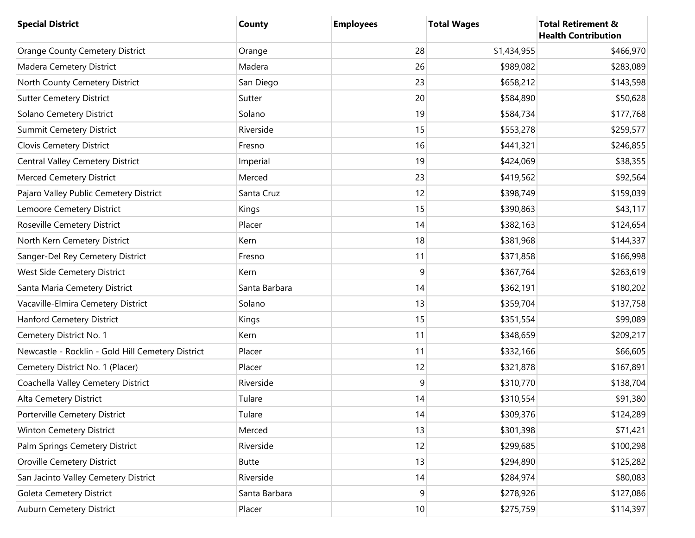| <b>Special District</b>                           | <b>County</b> | <b>Employees</b> | <b>Total Wages</b> | <b>Total Retirement &amp;</b><br><b>Health Contribution</b> |
|---------------------------------------------------|---------------|------------------|--------------------|-------------------------------------------------------------|
| <b>Orange County Cemetery District</b>            | Orange        | 28               | \$1,434,955        | \$466,970                                                   |
| Madera Cemetery District                          | Madera        | 26               | \$989,082          | \$283,089                                                   |
| North County Cemetery District                    | San Diego     | 23               | \$658,212          | \$143,598                                                   |
| <b>Sutter Cemetery District</b>                   | Sutter        | 20               | \$584,890          | \$50,628                                                    |
| Solano Cemetery District                          | Solano        | 19               | \$584,734          | \$177,768                                                   |
| <b>Summit Cemetery District</b>                   | Riverside     | 15               | \$553,278          | \$259,577                                                   |
| Clovis Cemetery District                          | Fresno        | 16               | \$441,321          | \$246,855                                                   |
| <b>Central Valley Cemetery District</b>           | Imperial      | 19               | \$424,069          | \$38,355                                                    |
| Merced Cemetery District                          | Merced        | 23               | \$419,562          | \$92,564                                                    |
| Pajaro Valley Public Cemetery District            | Santa Cruz    | 12               | \$398,749          | \$159,039                                                   |
| Lemoore Cemetery District                         | Kings         | 15               | \$390,863          | \$43,117                                                    |
| Roseville Cemetery District                       | Placer        | 14               | \$382,163          | \$124,654                                                   |
| North Kern Cemetery District                      | Kern          | 18               | \$381,968          | \$144,337                                                   |
| Sanger-Del Rey Cemetery District                  | Fresno        | 11               | \$371,858          | \$166,998                                                   |
| West Side Cemetery District                       | Kern          | 9                | \$367,764          | \$263,619                                                   |
| Santa Maria Cemetery District                     | Santa Barbara | 14               | \$362,191          | \$180,202                                                   |
| Vacaville-Elmira Cemetery District                | Solano        | 13               | \$359,704          | \$137,758                                                   |
| Hanford Cemetery District                         | Kings         | 15               | \$351,554          | \$99,089                                                    |
| Cemetery District No. 1                           | Kern          | 11               | \$348,659          | \$209,217                                                   |
| Newcastle - Rocklin - Gold Hill Cemetery District | Placer        | 11               | \$332,166          | \$66,605                                                    |
| Cemetery District No. 1 (Placer)                  | Placer        | 12               | \$321,878          | \$167,891                                                   |
| Coachella Valley Cemetery District                | Riverside     | 9                | \$310,770          | \$138,704                                                   |
| Alta Cemetery District                            | Tulare        | 14               | \$310,554          | \$91,380                                                    |
| Porterville Cemetery District                     | Tulare        | 14               | \$309,376          | \$124,289                                                   |
| Winton Cemetery District                          | Merced        | 13               | \$301,398          | \$71,421                                                    |
| Palm Springs Cemetery District                    | Riverside     | 12               | \$299,685          | \$100,298                                                   |
| <b>Oroville Cemetery District</b>                 | <b>Butte</b>  | 13               | \$294,890          | \$125,282                                                   |
| San Jacinto Valley Cemetery District              | Riverside     | 14               | \$284,974          | \$80,083                                                    |
| Goleta Cemetery District                          | Santa Barbara | 9                | \$278,926          | \$127,086                                                   |
| Auburn Cemetery District                          | Placer        | $10$             | \$275,759          | \$114,397                                                   |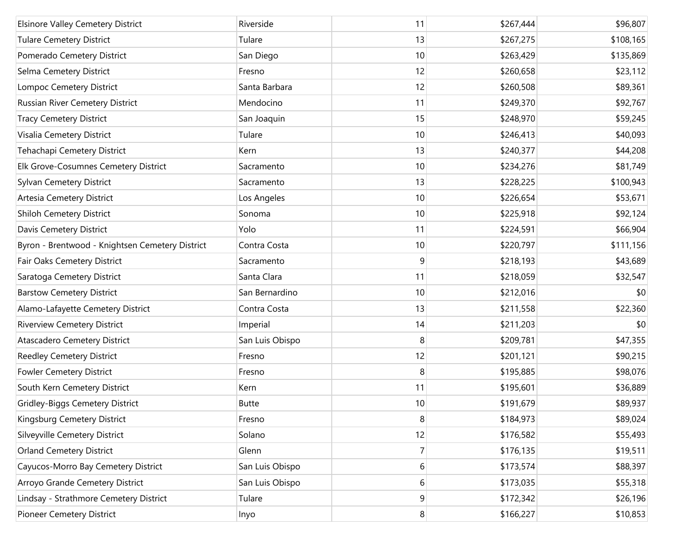| <b>Elsinore Valley Cemetery District</b>        | Riverside       | 11             | \$267,444 | \$96,807  |
|-------------------------------------------------|-----------------|----------------|-----------|-----------|
| <b>Tulare Cemetery District</b>                 | Tulare          | 13             | \$267,275 | \$108,165 |
| Pomerado Cemetery District                      | San Diego       | 10             | \$263,429 | \$135,869 |
| Selma Cemetery District                         | Fresno          | 12             | \$260,658 | \$23,112  |
| <b>Lompoc Cemetery District</b>                 | Santa Barbara   | 12             | \$260,508 | \$89,361  |
| Russian River Cemetery District                 | Mendocino       | 11             | \$249,370 | \$92,767  |
| <b>Tracy Cemetery District</b>                  | San Joaquin     | 15             | \$248,970 | \$59,245  |
| Visalia Cemetery District                       | Tulare          | 10             | \$246,413 | \$40,093  |
| Tehachapi Cemetery District                     | Kern            | 13             | \$240,377 | \$44,208  |
| Elk Grove-Cosumnes Cemetery District            | Sacramento      | 10             | \$234,276 | \$81,749  |
| <b>Sylvan Cemetery District</b>                 | Sacramento      | 13             | \$228,225 | \$100,943 |
| Artesia Cemetery District                       | Los Angeles     | 10             | \$226,654 | \$53,671  |
| <b>Shiloh Cemetery District</b>                 | Sonoma          | 10             | \$225,918 | \$92,124  |
| Davis Cemetery District                         | Yolo            | 11             | \$224,591 | \$66,904  |
| Byron - Brentwood - Knightsen Cemetery District | Contra Costa    | 10             | \$220,797 | \$111,156 |
| Fair Oaks Cemetery District                     | Sacramento      | 9              | \$218,193 | \$43,689  |
| Saratoga Cemetery District                      | Santa Clara     | 11             | \$218,059 | \$32,547  |
| <b>Barstow Cemetery District</b>                | San Bernardino  | 10             | \$212,016 | \$0       |
| Alamo-Lafayette Cemetery District               | Contra Costa    | 13             | \$211,558 | \$22,360  |
| <b>Riverview Cemetery District</b>              | Imperial        | 14             | \$211,203 | \$0       |
| Atascadero Cemetery District                    | San Luis Obispo | 8              | \$209,781 | \$47,355  |
| <b>Reedley Cemetery District</b>                | Fresno          | 12             | \$201,121 | \$90,215  |
| <b>Fowler Cemetery District</b>                 | Fresno          | 8              | \$195,885 | \$98,076  |
| South Kern Cemetery District                    | Kern            | 11             | \$195,601 | \$36,889  |
| <b>Gridley-Biggs Cemetery District</b>          | <b>Butte</b>    | 10             | \$191,679 | \$89,937  |
| Kingsburg Cemetery District                     | Fresno          | 8              | \$184,973 | \$89,024  |
| Silveyville Cemetery District                   | Solano          | 12             | \$176,582 | \$55,493  |
| <b>Orland Cemetery District</b>                 | Glenn           | $\overline{7}$ | \$176,135 | \$19,511  |
| Cayucos-Morro Bay Cemetery District             | San Luis Obispo | 6              | \$173,574 | \$88,397  |
| Arroyo Grande Cemetery District                 | San Luis Obispo | 6              | \$173,035 | \$55,318  |
| Lindsay - Strathmore Cemetery District          | Tulare          | 9              | \$172,342 | \$26,196  |
| Pioneer Cemetery District                       | Inyo            | 8 <sup>1</sup> | \$166,227 | \$10,853  |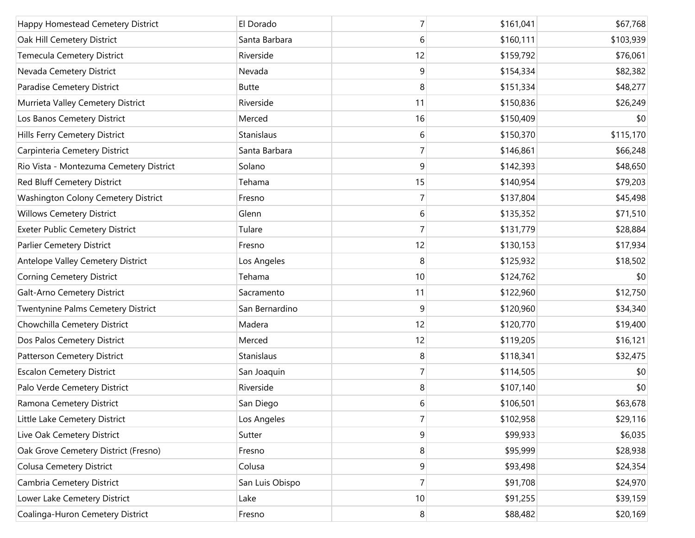| Happy Homestead Cemetery District       | El Dorado       | 7               | \$161,041 | \$67,768  |
|-----------------------------------------|-----------------|-----------------|-----------|-----------|
| Oak Hill Cemetery District              | Santa Barbara   | 6               | \$160,111 | \$103,939 |
| Temecula Cemetery District              | Riverside       | 12              | \$159,792 | \$76,061  |
| Nevada Cemetery District                | Nevada          | 9               | \$154,334 | \$82,382  |
| Paradise Cemetery District              | <b>Butte</b>    | 8               | \$151,334 | \$48,277  |
| Murrieta Valley Cemetery District       | Riverside       | 11              | \$150,836 | \$26,249  |
| Los Banos Cemetery District             | Merced          | 16              | \$150,409 | \$0       |
| Hills Ferry Cemetery District           | Stanislaus      | 6               | \$150,370 | \$115,170 |
| Carpinteria Cemetery District           | Santa Barbara   | 7               | \$146,861 | \$66,248  |
| Rio Vista - Montezuma Cemetery District | Solano          | 9               | \$142,393 | \$48,650  |
| Red Bluff Cemetery District             | Tehama          | 15              | \$140,954 | \$79,203  |
| Washington Colony Cemetery District     | Fresno          | 7               | \$137,804 | \$45,498  |
| <b>Willows Cemetery District</b>        | Glenn           | 6               | \$135,352 | \$71,510  |
| <b>Exeter Public Cemetery District</b>  | Tulare          | 7               | \$131,779 | \$28,884  |
| Parlier Cemetery District               | Fresno          | 12              | \$130,153 | \$17,934  |
| Antelope Valley Cemetery District       | Los Angeles     | 8               | \$125,932 | \$18,502  |
| Corning Cemetery District               | Tehama          | 10              | \$124,762 | \$0       |
| Galt-Arno Cemetery District             | Sacramento      | 11              | \$122,960 | \$12,750  |
| Twentynine Palms Cemetery District      | San Bernardino  | 9               | \$120,960 | \$34,340  |
| Chowchilla Cemetery District            | Madera          | 12              | \$120,770 | \$19,400  |
| Dos Palos Cemetery District             | Merced          | 12              | \$119,205 | \$16,121  |
| Patterson Cemetery District             | Stanislaus      | 8               | \$118,341 | \$32,475  |
| <b>Escalon Cemetery District</b>        | San Joaquin     | 7               | \$114,505 | \$0       |
| Palo Verde Cemetery District            | Riverside       | 8               | \$107,140 | \$0       |
| Ramona Cemetery District                | San Diego       | 6               | \$106,501 | \$63,678  |
| Little Lake Cemetery District           | Los Angeles     | 7               | \$102,958 | \$29,116  |
| Live Oak Cemetery District              | Sutter          | $\overline{9}$  | \$99,933  | \$6,035   |
| Oak Grove Cemetery District (Fresno)    | Fresno          | 8 <sup>°</sup>  | \$95,999  | \$28,938  |
| <b>Colusa Cemetery District</b>         | Colusa          | $\overline{9}$  | \$93,498  | \$24,354  |
| Cambria Cemetery District               | San Luis Obispo | 7               | \$91,708  | \$24,970  |
| Lower Lake Cemetery District            | Lake            | 10 <sup>1</sup> | \$91,255  | \$39,159  |
| Coalinga-Huron Cemetery District        | Fresno          | 8 <sup>°</sup>  | \$88,482  | \$20,169  |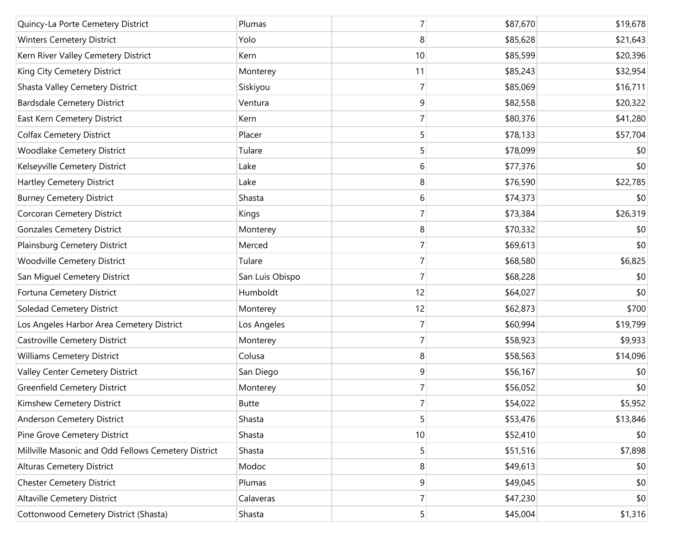| Quincy-La Porte Cemetery District                   | Plumas          | 7              | \$87,670 | \$19,678 |
|-----------------------------------------------------|-----------------|----------------|----------|----------|
| <b>Winters Cemetery District</b>                    | Yolo            | 8              | \$85,628 | \$21,643 |
| Kern River Valley Cemetery District                 | Kern            | 10             | \$85,599 | \$20,396 |
| King City Cemetery District                         | Monterey        | 11             | \$85,243 | \$32,954 |
| Shasta Valley Cemetery District                     | Siskiyou        | 7              | \$85,069 | \$16,711 |
| <b>Bardsdale Cemetery District</b>                  | Ventura         | 9              | \$82,558 | \$20,322 |
| East Kern Cemetery District                         | Kern            | 7              | \$80,376 | \$41,280 |
| <b>Colfax Cemetery District</b>                     | Placer          | 5              | \$78,133 | \$57,704 |
| <b>Woodlake Cemetery District</b>                   | Tulare          | 5              | \$78,099 | \$0      |
| Kelseyville Cemetery District                       | Lake            | 6              | \$77,376 | \$0      |
| Hartley Cemetery District                           | Lake            | 8              | \$76,590 | \$22,785 |
| <b>Burney Cemetery District</b>                     | Shasta          | 6              | \$74,373 | \$0      |
| Corcoran Cemetery District                          | Kings           | 7              | \$73,384 | \$26,319 |
| <b>Gonzales Cemetery District</b>                   | Monterey        | 8              | \$70,332 | \$0      |
| Plainsburg Cemetery District                        | Merced          | 7              | \$69,613 | \$0      |
| Woodville Cemetery District                         | Tulare          | 7              | \$68,580 | \$6,825  |
| San Miguel Cemetery District                        | San Luis Obispo | 7              | \$68,228 | \$0      |
| Fortuna Cemetery District                           | Humboldt        | 12             | \$64,027 | \$0      |
| <b>Soledad Cemetery District</b>                    | Monterey        | 12             | \$62,873 | \$700    |
| Los Angeles Harbor Area Cemetery District           | Los Angeles     | 7              | \$60,994 | \$19,799 |
| Castroville Cemetery District                       | Monterey        | 7              | \$58,923 | \$9,933  |
| <b>Williams Cemetery District</b>                   | Colusa          | 8              | \$58,563 | \$14,096 |
| Valley Center Cemetery District                     | San Diego       | 9              | \$56,167 | \$0      |
| <b>Greenfield Cemetery District</b>                 | Monterey        | 7              | \$56,052 | \$0      |
| Kimshew Cemetery District                           | <b>Butte</b>    | $\overline{7}$ | \$54,022 | \$5,952  |
| Anderson Cemetery District                          | Shasta          | 5              | \$53,476 | \$13,846 |
| Pine Grove Cemetery District                        | Shasta          | 10             | \$52,410 | \$0      |
| Millville Masonic and Odd Fellows Cemetery District | Shasta          | 5              | \$51,516 | \$7,898  |
| <b>Alturas Cemetery District</b>                    | Modoc           | 8              | \$49,613 | \$0      |
| <b>Chester Cemetery District</b>                    | Plumas          | 9              | \$49,045 | \$0      |
| <b>Altaville Cemetery District</b>                  | Calaveras       | $\overline{7}$ | \$47,230 | \$0      |
| Cottonwood Cemetery District (Shasta)               | Shasta          | 5 <sup>1</sup> | \$45,004 | \$1,316  |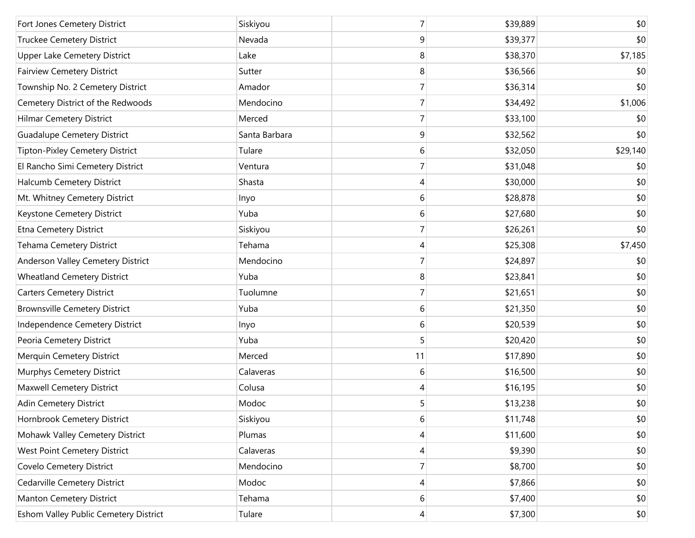| Fort Jones Cemetery District          | Siskiyou      | 7              | \$39,889 | \$0      |
|---------------------------------------|---------------|----------------|----------|----------|
| Truckee Cemetery District             | Nevada        | 9              | \$39,377 | \$0      |
| <b>Upper Lake Cemetery District</b>   | Lake          | 8              | \$38,370 | \$7,185  |
| <b>Fairview Cemetery District</b>     | Sutter        | 8              | \$36,566 | \$0      |
| Township No. 2 Cemetery District      | Amador        | 7              | \$36,314 | \$0      |
| Cemetery District of the Redwoods     | Mendocino     | 7              | \$34,492 | \$1,006  |
| <b>Hilmar Cemetery District</b>       | Merced        | 7              | \$33,100 | \$0      |
| <b>Guadalupe Cemetery District</b>    | Santa Barbara | 9              | \$32,562 | \$0      |
| Tipton-Pixley Cemetery District       | Tulare        | 6              | \$32,050 | \$29,140 |
| El Rancho Simi Cemetery District      | Ventura       | 7              | \$31,048 | \$0      |
| Halcumb Cemetery District             | Shasta        | 4              | \$30,000 | \$0      |
| Mt. Whitney Cemetery District         | Inyo          | 6              | \$28,878 | \$0      |
| Keystone Cemetery District            | Yuba          | 6              | \$27,680 | \$0      |
| Etna Cemetery District                | Siskiyou      | 7              | \$26,261 | \$0      |
| <b>Tehama Cemetery District</b>       | Tehama        | 4              | \$25,308 | \$7,450  |
| Anderson Valley Cemetery District     | Mendocino     | 7              | \$24,897 | \$0      |
| <b>Wheatland Cemetery District</b>    | Yuba          | 8              | \$23,841 | \$0      |
| <b>Carters Cemetery District</b>      | Tuolumne      | 7              | \$21,651 | \$0      |
| <b>Brownsville Cemetery District</b>  | Yuba          | 6              | \$21,350 | \$0      |
| Independence Cemetery District        | Inyo          | 6              | \$20,539 | \$0      |
| Peoria Cemetery District              | Yuba          | 5              | \$20,420 | \$0      |
| Merquin Cemetery District             | Merced        | 11             | \$17,890 | \$0      |
| Murphys Cemetery District             | Calaveras     | 6              | \$16,500 | \$0      |
| <b>Maxwell Cemetery District</b>      | Colusa        | 4              | \$16,195 | \$0      |
| Adin Cemetery District                | Modoc         | 5              | \$13,238 | \$0      |
| Hornbrook Cemetery District           | Siskiyou      | 6              | \$11,748 | \$0      |
| Mohawk Valley Cemetery District       | Plumas        | 4              | \$11,600 | \$0      |
| West Point Cemetery District          | Calaveras     | 4              | \$9,390  | \$0      |
| Covelo Cemetery District              | Mendocino     | $\overline{7}$ | \$8,700  | \$0      |
| Cedarville Cemetery District          | Modoc         | 4              | \$7,866  | \$0      |
| <b>Manton Cemetery District</b>       | Tehama        | 6              | \$7,400  | \$0      |
| Eshom Valley Public Cemetery District | Tulare        | 4              | \$7,300  | \$0      |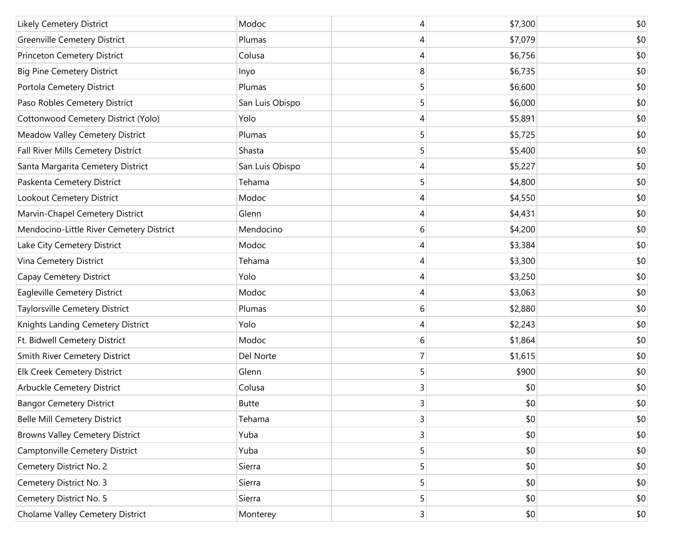| Likely Cemetery District                 | Modoc           | 4                       | \$7,300 | \$0 |
|------------------------------------------|-----------------|-------------------------|---------|-----|
| <b>Greenville Cemetery District</b>      | Plumas          | 4                       | \$7,079 | \$0 |
| Princeton Cemetery District              | Colusa          | 4                       | \$6,756 | \$0 |
| <b>Big Pine Cemetery District</b>        | Inyo            | 8                       | \$6,735 | \$0 |
| Portola Cemetery District                | Plumas          | 5                       | \$6,600 | \$0 |
| Paso Robles Cemetery District            | San Luis Obispo | 5                       | \$6,000 | \$0 |
| Cottonwood Cemetery District (Yolo)      | Yolo            | 4                       | \$5,891 | \$0 |
| Meadow Valley Cemetery District          | Plumas          | 5                       | \$5,725 | \$0 |
| Fall River Mills Cemetery District       | Shasta          | 5                       | \$5,400 | \$0 |
| Santa Margarita Cemetery District        | San Luis Obispo | 4                       | \$5,227 | \$0 |
| Paskenta Cemetery District               | Tehama          | 5                       | \$4,800 | \$0 |
| Lookout Cemetery District                | Modoc           | 4                       | \$4,550 | \$0 |
| Marvin-Chapel Cemetery District          | Glenn           | 4                       | \$4,431 | \$0 |
| Mendocino-Little River Cemetery District | Mendocino       | 6                       | \$4,200 | \$0 |
| Lake City Cemetery District              | Modoc           | 4                       | \$3,384 | \$0 |
| Vina Cemetery District                   | Tehama          | 4                       | \$3,300 | \$0 |
| Capay Cemetery District                  | Yolo            | 4                       | \$3,250 | \$0 |
| Eagleville Cemetery District             | Modoc           | 4                       | \$3,063 | \$0 |
| Taylorsville Cemetery District           | Plumas          | 6                       | \$2,880 | \$0 |
| Knights Landing Cemetery District        | Yolo            | 4                       | \$2,243 | \$0 |
| Ft. Bidwell Cemetery District            | Modoc           | 6                       | \$1,864 | \$0 |
| Smith River Cemetery District            | Del Norte       | 7                       | \$1,615 | \$0 |
| Elk Creek Cemetery District              | Glenn           | 5                       | \$900   | \$0 |
| Arbuckle Cemetery District               | Colusa          | 3                       | \$0     | \$0 |
| <b>Bangor Cemetery District</b>          | <b>Butte</b>    | 3                       | \$0     | \$0 |
| <b>Belle Mill Cemetery District</b>      | Tehama          | $\overline{3}$          | \$0     | \$0 |
| <b>Browns Valley Cemetery District</b>   | Yuba            | $\overline{\mathsf{3}}$ | \$0     | \$0 |
| Camptonville Cemetery District           | Yuba            | 5                       | \$0     | \$0 |
| Cemetery District No. 2                  | Sierra          | 5                       | \$0     | \$0 |
| Cemetery District No. 3                  | Sierra          | 5                       | \$0     | \$0 |
| Cemetery District No. 5                  | Sierra          | 5                       | \$0     | \$0 |
| Cholame Valley Cemetery District         | Monterey        | 3 <sup>2</sup>          | \$0     | \$0 |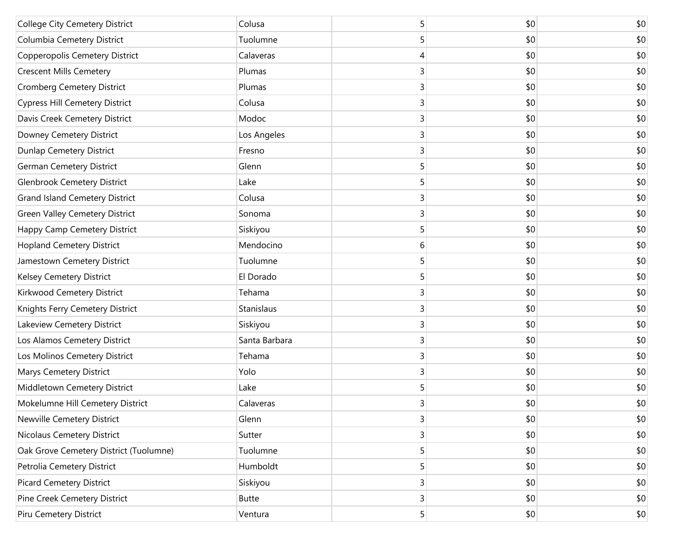| College City Cemetery District         | Colusa        | 5 | \$0 | \$0          |
|----------------------------------------|---------------|---|-----|--------------|
| Columbia Cemetery District             | Tuolumne      | 5 | \$0 | \$0          |
| Copperopolis Cemetery District         | Calaveras     | 4 | \$0 | \$0          |
| <b>Crescent Mills Cemetery</b>         | Plumas        | 3 | \$0 | \$0          |
| Cromberg Cemetery District             | Plumas        | 3 | \$0 | \$0          |
| <b>Cypress Hill Cemetery District</b>  | Colusa        | 3 | \$0 | \$0          |
| Davis Creek Cemetery District          | Modoc         | 3 | \$0 | \$0          |
| Downey Cemetery District               | Los Angeles   | 3 | \$0 | \$0          |
| Dunlap Cemetery District               | Fresno        | 3 | \$0 | \$0          |
| <b>German Cemetery District</b>        | Glenn         | 5 | \$0 | \$0          |
| <b>Glenbrook Cemetery District</b>     | Lake          | 5 | \$0 | \$0          |
| <b>Grand Island Cemetery District</b>  | Colusa        | 3 | \$0 | \$0          |
| <b>Green Valley Cemetery District</b>  | Sonoma        | 3 | \$0 | \$0          |
| Happy Camp Cemetery District           | Siskiyou      | 5 | \$0 | \$0          |
| <b>Hopland Cemetery District</b>       | Mendocino     | 6 | \$0 | \$0          |
| Jamestown Cemetery District            | Tuolumne      | 5 | \$0 | \$0          |
| Kelsey Cemetery District               | El Dorado     | 5 | \$0 | \$0          |
| Kirkwood Cemetery District             | Tehama        | 3 | \$0 | \$0          |
| Knights Ferry Cemetery District        | Stanislaus    | 3 | \$0 | \$0          |
| Lakeview Cemetery District             | Siskiyou      | 3 | \$0 | \$0          |
| Los Alamos Cemetery District           | Santa Barbara | 3 | \$0 | \$0          |
| Los Molinos Cemetery District          | Tehama        | 3 | \$0 | \$0          |
| Marys Cemetery District                | Yolo          | 3 | \$0 | \$0          |
| Middletown Cemetery District           | Lake          | 5 | \$0 | \$0          |
| Mokelumne Hill Cemetery District       | Calaveras     | 3 | \$0 | \$0          |
| Newville Cemetery District             | Glenn         | 3 | \$0 | \$0          |
| Nicolaus Cemetery District             | Sutter        | 3 | \$0 | \$0          |
| Oak Grove Cemetery District (Tuolumne) | Tuolumne      | 5 | \$0 | \$0          |
| Petrolia Cemetery District             | Humboldt      | 5 | \$0 | \$0          |
| <b>Picard Cemetery District</b>        | Siskiyou      | 3 | \$0 | \$0          |
| Pine Creek Cemetery District           | <b>Butte</b>  | 3 | \$0 | \$0          |
| Piru Cemetery District                 | Ventura       | 5 | \$0 | $ 10\rangle$ |